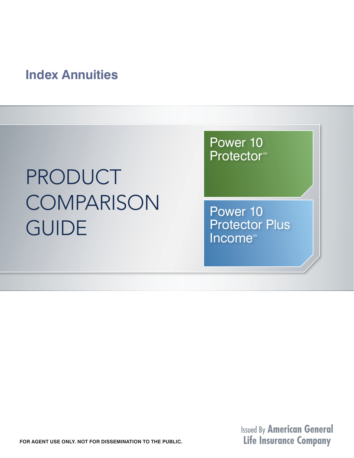### **Index Annuities**

# PRODUCT **COMPARISON GUIDE**

Power 10 Protector<sup>sM</sup>

I

I

Power 10 Protector Plus Income

> Issued By **American General Life Insurance Company**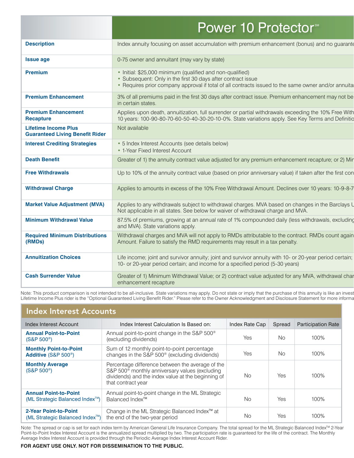|                                                                       | <b>Power 10 Protector</b>                                                                                                                                                                                                        |
|-----------------------------------------------------------------------|----------------------------------------------------------------------------------------------------------------------------------------------------------------------------------------------------------------------------------|
| <b>Description</b>                                                    | Index annuity focusing on asset accumulation with premium enhancement (bonus) and no guarant                                                                                                                                     |
| <b>Issue age</b>                                                      | 0-75 owner and annuitant (may vary by state)                                                                                                                                                                                     |
| <b>Premium</b>                                                        | • Initial: \$25,000 minimum (qualified and non-qualified)<br>• Subsequent: Only in the first 30 days after contract issue<br>• Requires prior company approval if total of all contracts issued to the same owner and/or annuita |
| <b>Premium Enhancement</b>                                            | 3% of all premiums paid in the first 30 days after contract issue. Premium enhancement may not be<br>in certain states.                                                                                                          |
| <b>Premium Enhancement</b><br><b>Recapture</b>                        | Applies upon death, annuitization, full surrender or partial withdrawals exceeding the 10% Free With<br>10 years: 100-90-80-70-60-50-40-30-20-10-0%. State variations apply. See Key Terms and Definition                        |
| <b>Lifetime Income Plus</b><br><b>Guaranteed Living Benefit Rider</b> | Not available                                                                                                                                                                                                                    |
| <b>Interest Crediting Strategies</b>                                  | • 5 Index Interest Accounts (see details below)<br>• 1-Year Fixed Interest Account                                                                                                                                               |
| <b>Death Benefit</b>                                                  | Greater of 1) the annuity contract value adjusted for any premium enhancement recapture; or 2) Mir                                                                                                                               |
| <b>Free Withdrawals</b>                                               | Up to 10% of the annuity contract value (based on prior anniversary value) if taken after the first con                                                                                                                          |
| <b>Withdrawal Charge</b>                                              | Applies to amounts in excess of the 10% Free Withdrawal Amount. Declines over 10 years: 10-9-8-7                                                                                                                                 |
| <b>Market Value Adjustment (MVA)</b>                                  | Applies to any withdrawals subject to withdrawal charges. MVA based on changes in the Barclays U<br>Not applicable in all states. See below for waiver of withdrawal charge and MVA.                                             |
| <b>Minimum Withdrawal Value</b>                                       | 87.5% of premiums, growing at an annual rate of 1% compounded daily (less withdrawals, excluding<br>and MVA). State variations apply.                                                                                            |
| <b>Required Minimum Distributions</b><br>(RMDs)                       | Withdrawal charges and MVA will not apply to RMDs attributable to the contract. RMDs count again<br>Amount. Failure to satisfy the RMD requirements may result in a tax penalty.                                                 |
| <b>Annuitization Choices</b>                                          | Life income; joint and survivor annuity; joint and survivor annuity with 10- or 20-year period certain;<br>10- or 20-year period certain; and income for a specified period (5-30 years)                                         |
| <b>Cash Surrender Value</b>                                           | Greater of 1) Minimum Withdrawal Value; or 2) contract value adjusted for any MVA, withdrawal char<br>enhancement recapture                                                                                                      |

Note: This product comparison is not intended to be all-inclusive. State variations may apply. Do not state or imply that the purchase of this annuity is like an invest Lifetime Income Plus rider is the "Optional Guaranteed Living Benefit Rider." Please refer to the Owner Acknowledgment and Disclosure Statement for more information.

| <b>Index Interest Accounts</b>                                                                                                                                   |                                                                                                                                                                                            |                |        |                           |  |  |  |  |
|------------------------------------------------------------------------------------------------------------------------------------------------------------------|--------------------------------------------------------------------------------------------------------------------------------------------------------------------------------------------|----------------|--------|---------------------------|--|--|--|--|
| Index Interest Account                                                                                                                                           | Index Interest Calculation Is Based on:                                                                                                                                                    | Index Rate Cap | Spread | <b>Participation Rate</b> |  |  |  |  |
| <b>Annual Point-to-Point</b><br>$(S&P 500^{\circ})$                                                                                                              | Annual point-to-point change in the S&P 500 <sup>®</sup><br>(excluding dividends)                                                                                                          | Yes            | No.    | 100%                      |  |  |  |  |
| <b>Monthly Point-to-Point</b><br>Sum of 12 monthly point-to-point percentage<br>changes in the S&P 500 <sup>®</sup> (excluding dividends)<br>Additive (S&P 500®) |                                                                                                                                                                                            | Yes            | No.    | 100%                      |  |  |  |  |
| <b>Monthly Average</b><br>$(S&P 500^{\circ})$                                                                                                                    | Percentage difference between the average of the<br>S&P 500 <sup>®</sup> monthly anniversary values (excluding<br>dividends) and the index value at the beginning of<br>that contract year | No.            | Yes    | 100%                      |  |  |  |  |
| <b>Annual Point-to-Point</b><br>(ML Strategic Balanced Index <sup>™</sup> )                                                                                      | Annual point-to-point change in the ML Strategic<br>Balanced Index <sup>™</sup>                                                                                                            | No.            | Yes    | 100%                      |  |  |  |  |
| 2-Year Point-to-Point<br>(ML Strategic Balanced Index <sup>™</sup> )                                                                                             | Change in the ML Strategic Balanced Index <sup>™</sup> at<br>the end of the two-year period                                                                                                | No.            | Yes    | 100%                      |  |  |  |  |

Note: The spread or cap is set for each index term by American General Life Insurance Company. The total spread for the ML Strategic Balanced Index™ 2-Year Point-to-Point Index Interest Account is the annualized spread multiplied by two. The participation rate is guaranteed for the life of the contract. The Monthly Average Index Interest Account is provided through the Periodic Average Index Interest Account Rider.

### **FOR AGENT USE ONLY. NOT FOR DISSEMINATION TO THE PUBLIC.**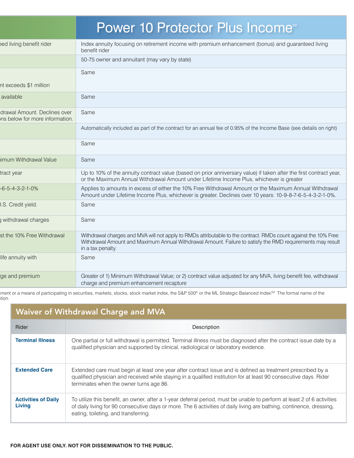|                                                                 | Power 10 Protector Plus Income                                                                                                                                                                                                                     |
|-----------------------------------------------------------------|----------------------------------------------------------------------------------------------------------------------------------------------------------------------------------------------------------------------------------------------------|
| eed living benefit rider                                        | Index annuity focusing on retirement income with premium enhancement (bonus) and guaranteed living<br>benefit rider                                                                                                                                |
|                                                                 | 50-75 owner and annuitant (may vary by state)                                                                                                                                                                                                      |
|                                                                 | Same                                                                                                                                                                                                                                               |
| nt exceeds \$1 million                                          |                                                                                                                                                                                                                                                    |
| available                                                       | Same                                                                                                                                                                                                                                               |
| drawal Amount. Declines over<br>ins below for more information. | Same                                                                                                                                                                                                                                               |
|                                                                 | Automatically included as part of the contract for an annual fee of 0.95% of the Income Base (see details on right)                                                                                                                                |
|                                                                 | Same                                                                                                                                                                                                                                               |
| <b>imum Withdrawal Value</b>                                    | Same                                                                                                                                                                                                                                               |
| tract year                                                      | Up to 10% of the annuity contract value (based on prior anniversary value) if taken after the first contract year,<br>or the Maximum Annual Withdrawal Amount under Lifetime Income Plus, whichever is greater                                     |
| $-6 - 5 - 4 - 3 - 2 - 1 - 0$ %                                  | Applies to amounts in excess of either the 10% Free Withdrawal Amount or the Maximum Annual Withdrawal<br>Amount under Lifetime Income Plus, whichever is greater. Declines over 10 years: 10-9-8-7-6-5-4-3-2-1-0%.                                |
| J.S. Credit yield.                                              | Same                                                                                                                                                                                                                                               |
| withdrawal charges                                              | Same                                                                                                                                                                                                                                               |
| st the 10% Free Withdrawal                                      | Withdrawal charges and MVA will not apply to RMDs attributable to the contract. RMDs count against the 10% Free<br>Withdrawal Amount and Maximum Annual Withdrawal Amount. Failure to satisfy the RMD requirements may result<br>in a tax penalty. |
| life annuity with                                               | Same                                                                                                                                                                                                                                               |
| ge and premium                                                  | Greater of 1) Minimum Withdrawal Value; or 2) contract value adjusted for any MVA, living benefit fee, withdrawal<br>charge and premium enhancement recapture                                                                                      |

ment or a means of participating in securities, markets, stocks, stock market index, the S&P 500<sup>®</sup> or the ML Strategic Balanced Index<sup>™</sup> The formal name of the ition.

| <b>Waiver of Withdrawal Charge and MVA</b>  |                                                                                                                                                                                                                                                                                         |  |  |  |
|---------------------------------------------|-----------------------------------------------------------------------------------------------------------------------------------------------------------------------------------------------------------------------------------------------------------------------------------------|--|--|--|
| Rider                                       | Description                                                                                                                                                                                                                                                                             |  |  |  |
| <b>Terminal Illness</b>                     | One partial or full withdrawal is permitted. Terminal illness must be diagnosed after the contract issue date by a<br>qualified physician and supported by clinical, radiological or laboratory evidence.                                                                               |  |  |  |
| <b>Extended Care</b>                        | Extended care must begin at least one year after contract issue and is defined as treatment prescribed by a<br>qualified physician and received while staying in a qualified institution for at least 90 consecutive days. Rider<br>terminates when the owner turns age 86.             |  |  |  |
| <b>Activities of Daily</b><br><b>Living</b> | To utilize this benefit, an owner, after a 1-year deferral period, must be unable to perform at least 2 of 6 activities<br>of daily living for 90 consecutive days or more. The 6 activities of daily living are bathing, continence, dressing,<br>eating, toileting, and transferring. |  |  |  |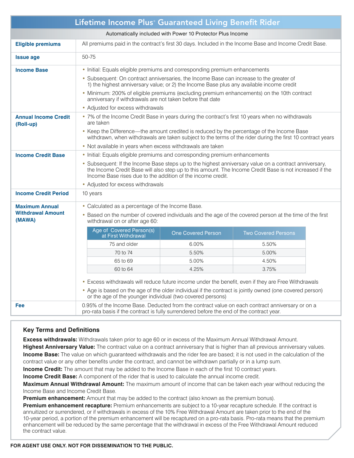| Lifetime Income Plus <sup>®</sup> Guaranteed Living Benefit Rider                                                                                                                            |                                                                                                                                                                                                                                                                                 |                           |                            |  |  |  |                                          |
|----------------------------------------------------------------------------------------------------------------------------------------------------------------------------------------------|---------------------------------------------------------------------------------------------------------------------------------------------------------------------------------------------------------------------------------------------------------------------------------|---------------------------|----------------------------|--|--|--|------------------------------------------|
| Automatically included with Power 10 Protector Plus Income                                                                                                                                   |                                                                                                                                                                                                                                                                                 |                           |                            |  |  |  |                                          |
| <b>Eligible premiums</b>                                                                                                                                                                     | All premiums paid in the contract's first 30 days. Included in the Income Base and Income Credit Base.                                                                                                                                                                          |                           |                            |  |  |  |                                          |
| <b>Issue age</b>                                                                                                                                                                             | 50-75                                                                                                                                                                                                                                                                           |                           |                            |  |  |  |                                          |
| <b>Income Base</b>                                                                                                                                                                           | • Initial: Equals eligible premiums and corresponding premium enhancements                                                                                                                                                                                                      |                           |                            |  |  |  |                                          |
|                                                                                                                                                                                              | • Subsequent: On contract anniversaries, the Income Base can increase to the greater of<br>1) the highest anniversary value; or 2) the Income Base plus any available income credit                                                                                             |                           |                            |  |  |  |                                          |
| • Minimum: 200% of eligible premiums (excluding premium enhancements) on the 10th contract<br>anniversary if withdrawals are not taken before that date<br>• Adjusted for excess withdrawals |                                                                                                                                                                                                                                                                                 |                           |                            |  |  |  |                                          |
|                                                                                                                                                                                              |                                                                                                                                                                                                                                                                                 |                           |                            |  |  |  | <b>Annual Income Credit</b><br>(Roll-up) |
|                                                                                                                                                                                              | • Keep the Difference—the amount credited is reduced by the percentage of the Income Base<br>withdrawn, when withdrawals are taken subject to the terms of the rider during the first 10 contract years                                                                         |                           |                            |  |  |  |                                          |
|                                                                                                                                                                                              | • Not available in years when excess withdrawals are taken                                                                                                                                                                                                                      |                           |                            |  |  |  |                                          |
| <b>Income Credit Base</b>                                                                                                                                                                    | • Initial: Equals eligible premiums and corresponding premium enhancements                                                                                                                                                                                                      |                           |                            |  |  |  |                                          |
|                                                                                                                                                                                              | • Subsequent: If the Income Base steps up to the highest anniversary value on a contract anniversary,<br>the Income Credit Base will also step up to this amount. The Income Credit Base is not increased if the<br>Income Base rises due to the addition of the income credit. |                           |                            |  |  |  |                                          |
| • Adjusted for excess withdrawals                                                                                                                                                            |                                                                                                                                                                                                                                                                                 |                           |                            |  |  |  |                                          |
| <b>Income Credit Period</b>                                                                                                                                                                  | 10 years                                                                                                                                                                                                                                                                        |                           |                            |  |  |  |                                          |
| <b>Maximum Annual</b>                                                                                                                                                                        | • Calculated as a percentage of the Income Base.                                                                                                                                                                                                                                |                           |                            |  |  |  |                                          |
| <b>Withdrawal Amount</b><br>(MAWA)                                                                                                                                                           | Based on the number of covered individuals and the age of the covered person at the time of the first<br>$\bullet$<br>withdrawal on or after age 60:                                                                                                                            |                           |                            |  |  |  |                                          |
|                                                                                                                                                                                              | Age of Covered Person(s)<br>at First Withdrawal                                                                                                                                                                                                                                 | <b>One Covered Person</b> | <b>Two Covered Persons</b> |  |  |  |                                          |
|                                                                                                                                                                                              | 75 and older                                                                                                                                                                                                                                                                    | 6.00%                     | 5.50%                      |  |  |  |                                          |
|                                                                                                                                                                                              | 70 to 74                                                                                                                                                                                                                                                                        | 5.50%                     | 5.00%                      |  |  |  |                                          |
|                                                                                                                                                                                              | 65 to 69                                                                                                                                                                                                                                                                        | 5.00%                     | 4.50%                      |  |  |  |                                          |
|                                                                                                                                                                                              | 60 to 64                                                                                                                                                                                                                                                                        | 4.25%                     | 3.75%                      |  |  |  |                                          |
|                                                                                                                                                                                              | • Excess withdrawals will reduce future income under the benefit, even if they are Free Withdrawals                                                                                                                                                                             |                           |                            |  |  |  |                                          |
|                                                                                                                                                                                              | • Age is based on the age of the older individual if the contract is jointly owned (one covered person)<br>or the age of the younger individual (two covered persons)                                                                                                           |                           |                            |  |  |  |                                          |
| Fee                                                                                                                                                                                          | 0.95% of the Income Base. Deducted from the contract value on each contract anniversary or on a<br>pro-rata basis if the contract is fully surrendered before the end of the contract year.                                                                                     |                           |                            |  |  |  |                                          |

### **Key Terms and Definitions**

**Excess withdrawals:** Withdrawals taken prior to age 60 or in excess of the Maximum Annual Withdrawal Amount.

**Highest Anniversary Value:** The contract value on a contract anniversary that is higher than all previous anniversary values. **Income Base:** The value on which guaranteed withdrawals and the rider fee are based; it is not used in the calculation of the contract value or any other benefits under the contract, and cannot be withdrawn partially or in a lump sum.

**Income Credit:** The amount that may be added to the Income Base in each of the first 10 contract years.

**Income Credit Base:** A component of the rider that is used to calculate the annual income credit.

**Maximum Annual Withdrawal Amount:** The maximum amount of income that can be taken each year without reducing the Income Base and Income Credit Base.

**Premium enhancement:** Amount that may be added to the contract (also known as the premium bonus).

**Premium enhancement recapture:** Premium enhancements are subject to a 10-year recapture schedule. If the contract is annuitized or surrendered, or if withdrawals in excess of the 10% Free Withdrawal Amount are taken prior to the end of the 10-year period, a portion of the premium enhancement will be recaptured on a pro-rata basis. Pro-rata means that the premium enhancement will be reduced by the same percentage that the withdrawal in excess of the Free Withdrawal Amount reduced the contract value.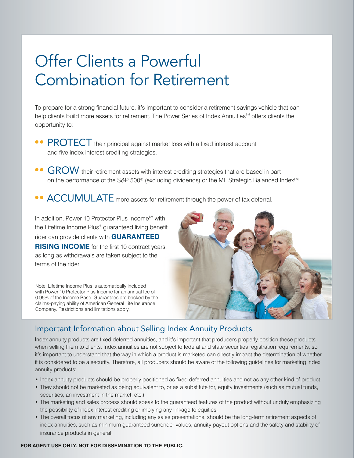## Offer Clients a Powerful Combination for Retirement

To prepare for a strong financial future, it's important to consider a retirement savings vehicle that can help clients build more assets for retirement. The Power Series of Index Annuities<sup>SM</sup> offers clients the opportunity to:

- ● PROTECT their principal against market loss with a fixed interest account and five index interest crediting strategies.
- ● GROW their retirement assets with interest crediting strategies that are based in part on the performance of the S&P 500® (excluding dividends) or the ML Strategic Balanced Index<sup>™</sup>
- ACCUMULATE more assets for retirement through the power of tax deferral.

In addition, Power 10 Protector Plus Income<sup>™</sup> with the Lifetime Income Plus® guaranteed living benefit rider can provide clients with **GUARANTEED RISING INCOME** for the first 10 contract years, as long as withdrawals are taken subject to the terms of the rider.

Note: Lifetime Income Plus is automatically included with Power 10 Protector Plus Income for an annual fee of 0.95% of the Income Base. Guarantees are backed by the claims-paying ability of American General Life Insurance Company. Restrictions and limitations apply.



### Important Information about Selling Index Annuity Products

Index annuity products are fixed deferred annuities, and it's important that producers properly position these products when selling them to clients. Index annuities are not subject to federal and state securities registration requirements, so it's important to understand that the way in which a product is marketed can directly impact the determination of whether it is considered to be a security. Therefore, all producers should be aware of the following guidelines for marketing index annuity products:

- Index annuity products should be properly positioned as fixed deferred annuities and not as any other kind of product.
- They should not be marketed as being equivalent to, or as a substitute for, equity investments (such as mutual funds, securities, an investment in the market, etc.).
- The marketing and sales process should speak to the guaranteed features of the product without unduly emphasizing the possibility of index interest crediting or implying any linkage to equities.
- The overall focus of any marketing, including any sales presentations, should be the long-term retirement aspects of index annuities, such as minimum guaranteed surrender values, annuity payout options and the safety and stability of insurance products in general.

### **FOR AGENT USE ONLY. NOT FOR DISSEMINATION TO THE PUBLIC.**